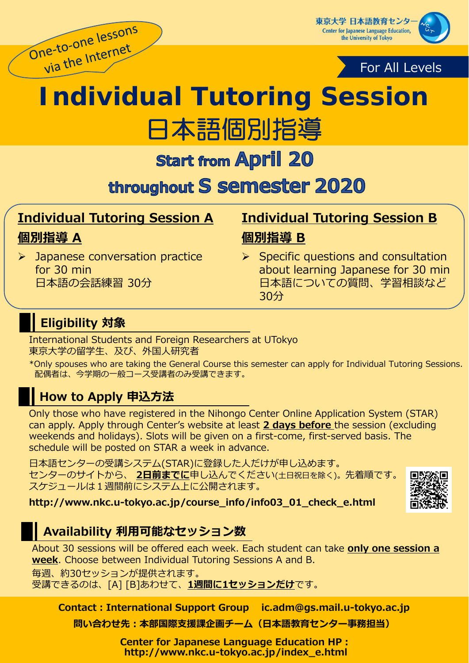

東京大学 日本語教育センタ **Center for Japanese Language Education,** the University of Tokyo



# **Individual Tutoring Session** 日本語個別指導

**Start from April 20** 

throughout S semester 2020

# **Individual Tutoring Session A 個別指導 A**

# **Individual Tutoring Session B 個別指導 B**

- **>** Japanese conversation practice for 30 min 日本語の会話練習 30分
- $\triangleright$  Specific questions and consultation about learning Japanese for 30 min 日本語についての質問、学習相談など 30分

# **Eligibility 対象**

International Students and Foreign Researchers at UTokyo 東京⼤学の留学⽣、及び、外国⼈研究者

\*Only spouses who are taking the General Course this semester can apply for Individual Tutoring Sessions. 配偶者は、今学期の⼀般コース受講者のみ受講できます。

# **How to Apply 申込方法**

Only those who have registered in the Nihongo Center Online Application System (STAR) can apply. Apply through Center's website at least **2 days before** the session (excluding weekends and holidays). Slots will be given on a first-come, first-served basis. The schedule will be posted on STAR a week in advance.

日本語センターの受講システム(STAR)に登録した人だけが申し込めます。 センターのサイトから、 2日前までに申し込んでください(±日祝日を除く)。先着順です。 スケジュールは1週間前にシステム上に公開されます。



**http://www.nkc.u-tokyo.ac.jp/course\_info/info03\_01\_check\_e.html**

# **Availability 利用可能なセッション数**

About 30 sessions will be offered each week. Each student can take **only one session a week**. Choose between Individual Tutoring Sessions A and B.

毎週、約30セッションが提供されます。

受講できるのは、[A] [B]あわせて、**1週間に1セッションだけ**です。

**Contact:International Support Group ic.adm@gs.mail.u-tokyo.ac.jp**

**問い合わせ先:本部国際⽀援課企画チーム(⽇本語教育センター事務担当)**

**Center for Japanese Language Education HP: http://www.nkc.u-tokyo.ac.jp/index\_e.html**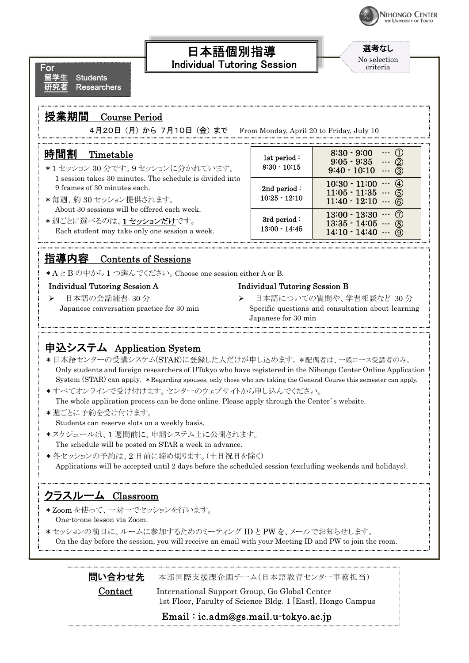

 $\Omega$ … ②

選考なし No selection criteria

8:30 - 9:00 9:05 - 9:35

 $9:40 - 10:10 \cdots \bar{3}$ 

 $10:30 - 11:00 \cdots (4)$  $11:05 - 11:35 \dots$  5  $11:40 - 12:10 \cdots \circled{6}$ 

 $13:00 - 13:30 \cdots \circled{7}$  $13:35 - 14:05 \cdots \circledS$ 14:10 - 14:40 … ⑨

For **Students Researchers** 

## 授業期間 Course Period

4月20日 (月) から 7月10日 (金) まで From Monday, April 20 to Friday, July 10

| 時間割 | Timetable |
|-----|-----------|
|-----|-----------|

- \*1 セッション 30 分です。9 セッションに分かれています。 1 session takes 30 minutes. The schedule is divided into 9 frames of 30 minutes each.
- \*毎週、約 30 セッション提供されます。 About 30 sessions will be offered each week.
- \*週ごとに選べるのは、1セッションだけです。 Each student may take only one session a week.

## 指導内容 Contents of Sessions

\*A と B の中から 1 つ選んでください。Choose one session either A or B.

#### Individual Tutoring Session A

▶ 日本語の会話練習 30 分 Japanese conversation practice for 30 min

#### Individual Tutoring Session B

1st period : 8:30 - 10:15

2nd period : 10:25 - 12:10

3rd period : 13:00 - 14:45

> 日本語についての質問や、学習相談など 30分 Specific questions and consultation about learning Japanese for 30 min

## 申込システム Application System

\*日本語センターの受講システム(STAR)に登録した人だけが申し込めます。\*配偶者は、一般コース受講者のみ。<br>Only students and foreign researchers of UTokyo who have registered in the Nihongo Center Online Application System (STAR) can apply. \*Regarding spouses, only those who are taking the General Course this semester can apply.

日本語個別指導 Individual Tutoring Session

- \*すべてオンラインで受け付けます。センターのウェブサイトから申し込んでください。 The whole application process can be done online. Please apply through the Center's website.
- \*週ごとに予約を受け付けます。 Students can reserve slots on a weekly basis.
- \*スケジュールは、1 週間前に、申請システム上に公開されます。 The schedule will be posted on STAR a week in advance.
- \*各セッションの予約は、2 日前に締め切ります。(土日祝日を除く) Applications will be accepted until 2 days before the scheduled session (excluding weekends and holidays).

## クラスルーム Classroom

- \*Zoom を使って、一対一でセッションを行います。 One-to-one lesson via Zoom.
- \*セッションの前日に、ルームに参加するためのミーティング ID と PW を、メールでお知らせします。 On the day before the session, you will receive an email with your Meeting ID and PW to join the room.

**問い合わせ先** 本部国際支援課企画チーム(日本語教育センター事務担当)

Contact International Support Group, Go Global Center 1st Floor, Faculty of Science Bldg. 1 [East], Hongo Campus

Email : ic.adm@gs.mail.u-tokyo.ac.jp